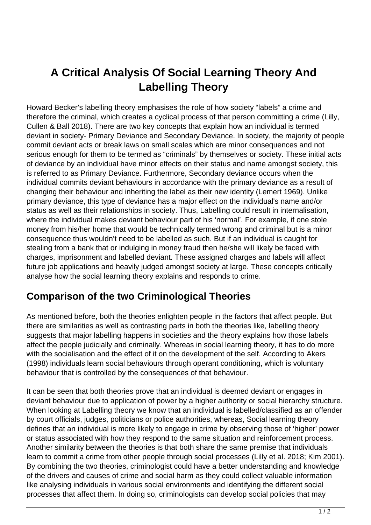## **A Critical Analysis Of Social Learning Theory And Labelling Theory**

Howard Becker's labelling theory emphasises the role of how society "labels" a crime and therefore the criminal, which creates a cyclical process of that person committing a crime (Lilly, Cullen & Ball 2018). There are two key concepts that explain how an individual is termed deviant in society- Primary Deviance and Secondary Deviance. In society, the majority of people commit deviant acts or break laws on small scales which are minor consequences and not serious enough for them to be termed as "criminals" by themselves or society. These initial acts of deviance by an individual have minor effects on their status and name amongst society, this is referred to as Primary Deviance. Furthermore, Secondary deviance occurs when the individual commits deviant behaviours in accordance with the primary deviance as a result of changing their behaviour and inheriting the label as their new identity (Lemert 1969). Unlike primary deviance, this type of deviance has a major effect on the individual's name and/or status as well as their relationships in society. Thus, Labelling could result in internalisation, where the individual makes deviant behaviour part of his 'normal'. For example, if one stole money from his/her home that would be technically termed wrong and criminal but is a minor consequence thus wouldn't need to be labelled as such. But if an individual is caught for stealing from a bank that or indulging in money fraud then he/she will likely be faced with charges, imprisonment and labelled deviant. These assigned charges and labels will affect future job applications and heavily judged amongst society at large. These concepts critically analyse how the social learning theory explains and responds to crime.

## **Comparison of the two Criminological Theories**

As mentioned before, both the theories enlighten people in the factors that affect people. But there are similarities as well as contrasting parts in both the theories like, labelling theory suggests that major labelling happens in societies and the theory explains how those labels affect the people judicially and criminally. Whereas in social learning theory, it has to do more with the socialisation and the effect of it on the development of the self. According to Akers (1998) individuals learn social behaviours through operant conditioning, which is voluntary behaviour that is controlled by the consequences of that behaviour.

It can be seen that both theories prove that an individual is deemed deviant or engages in deviant behaviour due to application of power by a higher authority or social hierarchy structure. When looking at Labelling theory we know that an individual is labelled/classified as an offender by court officials, judges, politicians or police authorities, whereas, Social learning theory defines that an individual is more likely to engage in crime by observing those of 'higher' power or status associated with how they respond to the same situation and reinforcement process. Another similarity between the theories is that both share the same premise that individuals learn to commit a crime from other people through social processes (Lilly et al. 2018; Kim 2001). By combining the two theories, criminologist could have a better understanding and knowledge of the drivers and causes of crime and social harm as they could collect valuable information like analysing individuals in various social environments and identifying the different social processes that affect them. In doing so, criminologists can develop social policies that may